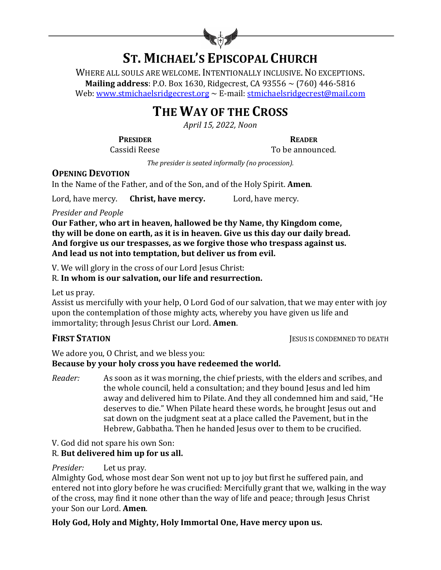

# **ST. MICHAEL'S EPISCOPAL CHURCH**

WHERE ALL SOULS ARE WELCOME. INTENTIONALLY INCLUSIVE. NO EXCEPTIONS. **Mailing address**: P.O. Box 1630, Ridgecrest, CA 93556  $\sim$  (760) 446-5816 Web: www.stmichaelsridgecrest.org  $\sim$  E-mail: stmichaelsridgecrest@mail.com

# **THE WAY OF THE CROSS**

*April 15, 2022, Noon*

### **PRESIDER READER**

Cassidi Reese To be announced.

The presider is seated informally (no procession).

# **OPENING DEVOTION**

In the Name of the Father, and of the Son, and of the Holy Spirit. **Amen**.

Lord, have mercy. **Christ, have mercy.** Lord, have mercy.

### *Presider and People*

**Our Father, who art in heaven, hallowed be thy Name, thy Kingdom come,** thy will be done on earth, as it is in heaven. Give us this day our daily bread. And forgive us our trespasses, as we forgive those who trespass against us. And lead us not into temptation, but deliver us from evil.

V. We will glory in the cross of our Lord Jesus Christ:

# R. In whom is our salvation, our life and resurrection.

Let us pray.

Assist us mercifully with your help, O Lord God of our salvation, that we may enter with joy upon the contemplation of those mighty acts, whereby you have given us life and immortality; through Jesus Christ our Lord. **Amen.** 

**FIRST STATION JESUS IS CONDEMNED TO DEATH** 

We adore you, O Christ, and we bless you:

# Because by your holy cross you have redeemed the world.

*Reader:* As soon as it was morning, the chief priests, with the elders and scribes, and the whole council, held a consultation; and they bound Jesus and led him away and delivered him to Pilate. And they all condemned him and said, "He deserves to die." When Pilate heard these words, he brought Jesus out and sat down on the judgment seat at a place called the Pavement, but in the Hebrew, Gabbatha. Then he handed Jesus over to them to be crucified.

V. God did not spare his own Son:

# R. **But delivered him up for us all.**

# *Presider:* Let us pray.

Almighty God, whose most dear Son went not up to joy but first he suffered pain, and entered not into glory before he was crucified: Mercifully grant that we, walking in the way of the cross, may find it none other than the way of life and peace; through Jesus Christ your Son our Lord. **Amen**.

# **Holy God, Holy and Mighty, Holy Immortal One, Have mercy upon us.**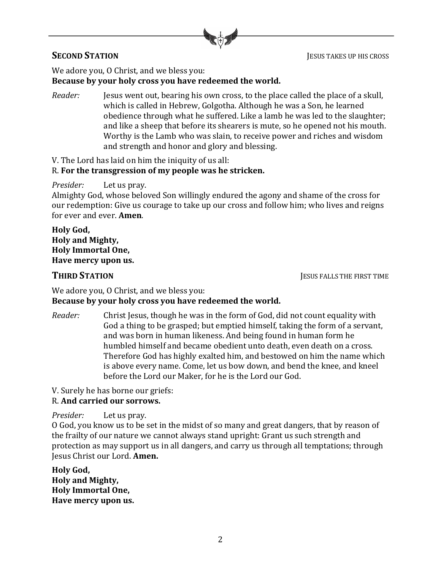

### Because by your holy cross you have redeemed the world.

*Reader:* Jesus went out, bearing his own cross, to the place called the place of a skull, which is called in Hebrew, Golgotha. Although he was a Son, he learned obedience through what he suffered. Like a lamb he was led to the slaughter; and like a sheep that before its shearers is mute, so he opened not his mouth. Worthy is the Lamb who was slain, to receive power and riches and wisdom and strength and honor and glory and blessing.

最中

V. The Lord has laid on him the iniquity of us all:

### R. For the transgression of my people was he stricken.

### *Presider:* Let us pray.

Almighty God, whose beloved Son willingly endured the agony and shame of the cross for our redemption: Give us courage to take up our cross and follow him; who lives and reigns for ever and ever. **Amen**.

### **Holy** God, **Holy and Mighty, Holy Immortal One,** Have mercy upon us.

**THIRD STATION JESUS FALLS THE FIRST TIME** 

We adore you, O Christ, and we bless you: Because by your holy cross you have redeemed the world.

*Reader:* Christ Jesus, though he was in the form of God, did not count equality with God a thing to be grasped; but emptied himself, taking the form of a servant, and was born in human likeness. And being found in human form he humbled himself and became obedient unto death, even death on a cross. Therefore God has highly exalted him, and bestowed on him the name which is above every name. Come, let us bow down, and bend the knee, and kneel before the Lord our Maker, for he is the Lord our God.

V. Surely he has borne our griefs:

## R. **And carried our sorrows.**

*Presider:* Let us pray.

O God, you know us to be set in the midst of so many and great dangers, that by reason of the frailty of our nature we cannot always stand upright: Grant us such strength and protection as may support us in all dangers, and carry us through all temptations; through Jesus Christ our Lord. **Amen.**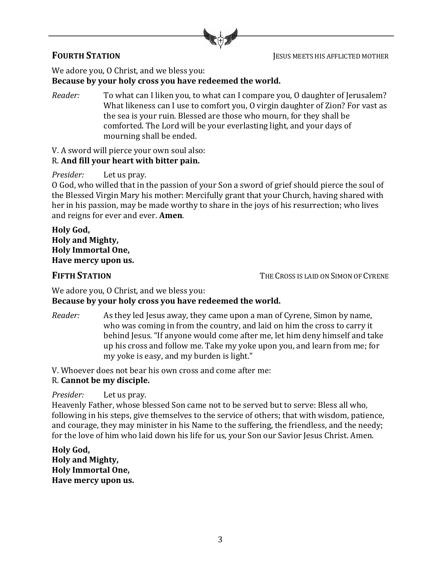

Because by your holy cross you have redeemed the world.

*Reader:* To what can I liken you, to what can I compare you, O daughter of Jerusalem? What likeness can I use to comfort you, O virgin daughter of Zion? For vast as the sea is your ruin. Blessed are those who mourn, for they shall be comforted. The Lord will be your everlasting light, and your days of mourning shall be ended.

V. A sword will pierce your own soul also:

### R. **And fill your heart with bitter pain.**

### *Presider:* Let us pray.

O God, who willed that in the passion of your Son a sword of grief should pierce the soul of the Blessed Virgin Mary his mother: Mercifully grant that your Church, having shared with her in his passion, may be made worthy to share in the joys of his resurrection; who lives and reigns for ever and ever. **Amen**.

### **Holy** God, **Holy and Mighty, Holy Immortal One,** Have mercy upon us.

**FIFTH STATION** THE CROSS IS LAID ON SIMON OF CYRENE

We adore you, O Christ, and we bless you: Because by your holy cross you have redeemed the world.

*Reader:* As they led Jesus away, they came upon a man of Cyrene, Simon by name, who was coming in from the country, and laid on him the cross to carry it behind Jesus. "If anyone would come after me, let him deny himself and take up his cross and follow me. Take my yoke upon you, and learn from me; for my yoke is easy, and my burden is light."

V. Whoever does not bear his own cross and come after me:

### R. **Cannot be my disciple.**

### *Presider:* Let us pray.

Heavenly Father, whose blessed Son came not to be served but to serve: Bless all who, following in his steps, give themselves to the service of others; that with wisdom, patience, and courage, they may minister in his Name to the suffering, the friendless, and the needy; for the love of him who laid down his life for us, your Son our Savior Jesus Christ. Amen.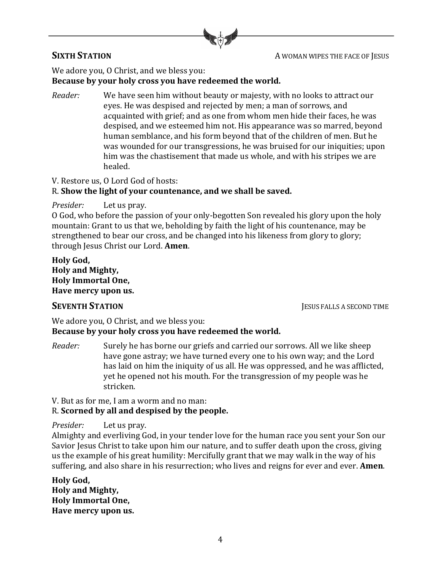

### Because by your holy cross you have redeemed the world.

*Reader:* We have seen him without beauty or majesty, with no looks to attract our eyes. He was despised and rejected by men; a man of sorrows, and acquainted with grief; and as one from whom men hide their faces, he was despised, and we esteemed him not. His appearance was so marred, beyond human semblance, and his form beyond that of the children of men. But he was wounded for our transgressions, he was bruised for our iniquities; upon him was the chastisement that made us whole, and with his stripes we are healed.

最中

V. Restore us, O Lord God of hosts:

# R. Show the light of your countenance, and we shall be saved.

### *Presider:* Let us pray.

O God, who before the passion of your only-begotten Son revealed his glory upon the holy mountain: Grant to us that we, beholding by faith the light of his countenance, may be strengthened to bear our cross, and be changed into his likeness from glory to glory; through Jesus Christ our Lord. **Amen.** 

### **Holy** God, **Holy and Mighty, Holy Immortal One,** Have mercy upon us.

**SEVENTH STATION JESUS FALLS A SECOND TIME** 

We adore you, O Christ, and we bless you: Because by your holy cross you have redeemed the world.

*Reader:* Surely he has borne our griefs and carried our sorrows. All we like sheep have gone astray; we have turned every one to his own way; and the Lord has laid on him the iniquity of us all. He was oppressed, and he was afflicted, yet he opened not his mouth. For the transgression of my people was he stricken.

V. But as for me, I am a worm and no man:

# R. Scorned by all and despised by the people.

### *Presider:* Let us pray.

Almighty and everliving God, in your tender love for the human race you sent your Son our Savior Jesus Christ to take upon him our nature, and to suffer death upon the cross, giving us the example of his great humility: Mercifully grant that we may walk in the way of his suffering, and also share in his resurrection; who lives and reigns for ever and ever. **Amen**.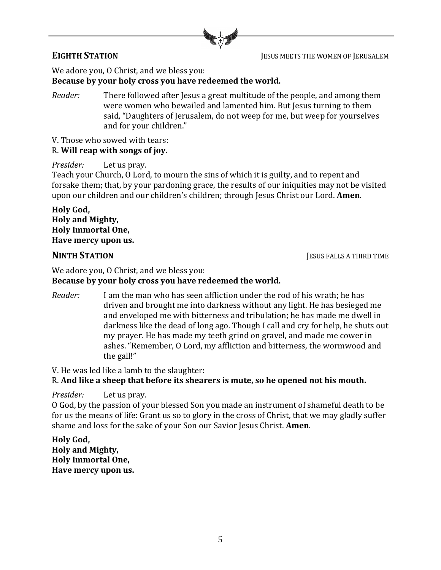

## Because by your holy cross you have redeemed the world.

*Reader:* There followed after Jesus a great multitude of the people, and among them were women who bewailed and lamented him. But Jesus turning to them said, "Daughters of Jerusalem, do not weep for me, but weep for yourselves and for your children."

V. Those who sowed with tears:

# R. Will reap with songs of joy.

*Presider:* Let us pray.

Teach your Church, O Lord, to mourn the sins of which it is guilty, and to repent and forsake them; that, by your pardoning grace, the results of our iniquities may not be visited upon our children and our children's children; through Jesus Christ our Lord. **Amen**.

**Holy** God, **Holy and Mighty, Holy Immortal One,** Have mercy upon us.

**NINTH STATION JESUS FALLS A THIRD TIME** 

We adore you, O Christ, and we bless you:

# Because by your holy cross you have redeemed the world.

*Reader:* I am the man who has seen affliction under the rod of his wrath; he has driven and brought me into darkness without any light. He has besieged me and enveloped me with bitterness and tribulation; he has made me dwell in darkness like the dead of long ago. Though I call and cry for help, he shuts out my prayer. He has made my teeth grind on gravel, and made me cower in ashes. "Remember, O Lord, my affliction and bitterness, the wormwood and the gall!"

V. He was led like a lamb to the slaughter:

# R. And like a sheep that before its shearers is mute, so he opened not his mouth.

# *Presider:* Let us pray.

O God, by the passion of your blessed Son you made an instrument of shameful death to be for us the means of life: Grant us so to glory in the cross of Christ, that we may gladly suffer shame and loss for the sake of your Son our Savior Jesus Christ. **Amen**.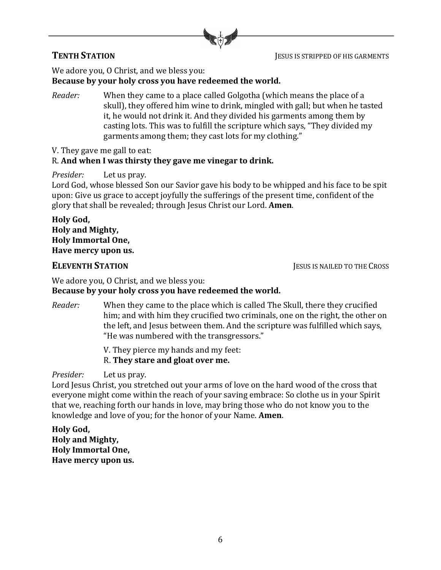

### Because by your holy cross you have redeemed the world.

*Reader:* When they came to a place called Golgotha (which means the place of a skull), they offered him wine to drink, mingled with gall; but when he tasted it, he would not drink it. And they divided his garments among them by casting lots. This was to fulfill the scripture which says, "They divided my garments among them; they cast lots for my clothing."

V. They gave me gall to eat:

# R. And when I was thirsty they gave me vinegar to drink.

*Presider:* Let us pray.

Lord God, whose blessed Son our Savior gave his body to be whipped and his face to be spit upon: Give us grace to accept joyfully the sufferings of the present time, confident of the glory that shall be revealed; through Jesus Christ our Lord. Amen.

| Holy God,               |
|-------------------------|
| <b>Holy and Mighty,</b> |
| Holy Immortal One,      |
| Have mercy upon us.     |

**ELEVENTH STATION JESUS** IS NAILED TO THE CROSS

We adore you, O Christ, and we bless you: Because by your holy cross you have redeemed the world.

*Reader:* When they came to the place which is called The Skull, there they crucified him; and with him they crucified two criminals, one on the right, the other on the left, and Jesus between them. And the scripture was fulfilled which says, "He was numbered with the transgressors."

> V. They pierce my hands and my feet: R. They stare and gloat over me.

*Presider:* Let us pray.

Lord Jesus Christ, you stretched out your arms of love on the hard wood of the cross that everyone might come within the reach of your saving embrace: So clothe us in your Spirit that we, reaching forth our hands in love, may bring those who do not know you to the knowledge and love of you; for the honor of your Name. **Amen**.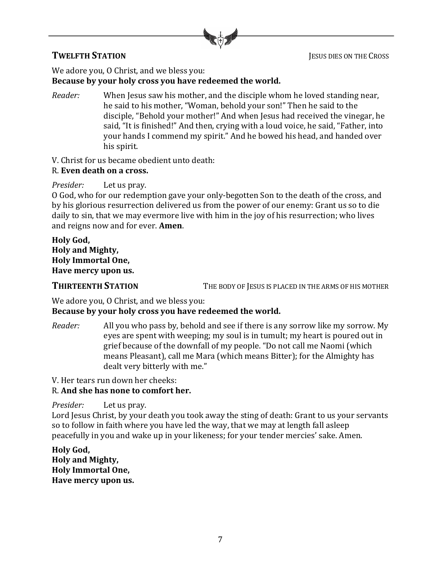

**TWELFTH STATION JESUS DIES ON THE CROSS** 

We adore you, O Christ, and we bless you:

# Because by your holy cross you have redeemed the world.

*Reader:* When Jesus saw his mother, and the disciple whom he loved standing near, he said to his mother, "Woman, behold your son!" Then he said to the disciple, "Behold your mother!" And when Jesus had received the vinegar, he said, "It is finished!" And then, crying with a loud voice, he said, "Father, into your hands I commend my spirit." And he bowed his head, and handed over his spirit.

V. Christ for us became obedient unto death:

### R. **Even death on a cross.**

*Presider:* Let us pray.

O God, who for our redemption gave your only-begotten Son to the death of the cross, and by his glorious resurrection delivered us from the power of our enemy: Grant us so to die daily to sin, that we may evermore live with him in the joy of his resurrection; who lives and reigns now and for ever. **Amen**.

### **Holy** God, **Holy and Mighty, Holy Immortal One,** Have mercy upon us.

**THIRTEENTH STATION** THE BODY OF JESUS IS PLACED IN THE ARMS OF HIS MOTHER

We adore you, O Christ, and we bless you:

# Because by your holy cross you have redeemed the world.

*Reader:* All you who pass by, behold and see if there is any sorrow like my sorrow. My eyes are spent with weeping; my soul is in tumult; my heart is poured out in grief because of the downfall of my people. "Do not call me Naomi (which means Pleasant), call me Mara (which means Bitter); for the Almighty has dealt very bitterly with me."

V. Her tears run down her cheeks:

# R. And she has none to comfort her.

*Presider:* Let us pray.

Lord Jesus Christ, by your death you took away the sting of death: Grant to us your servants so to follow in faith where you have led the way, that we may at length fall asleep peacefully in you and wake up in your likeness; for your tender mercies' sake. Amen.